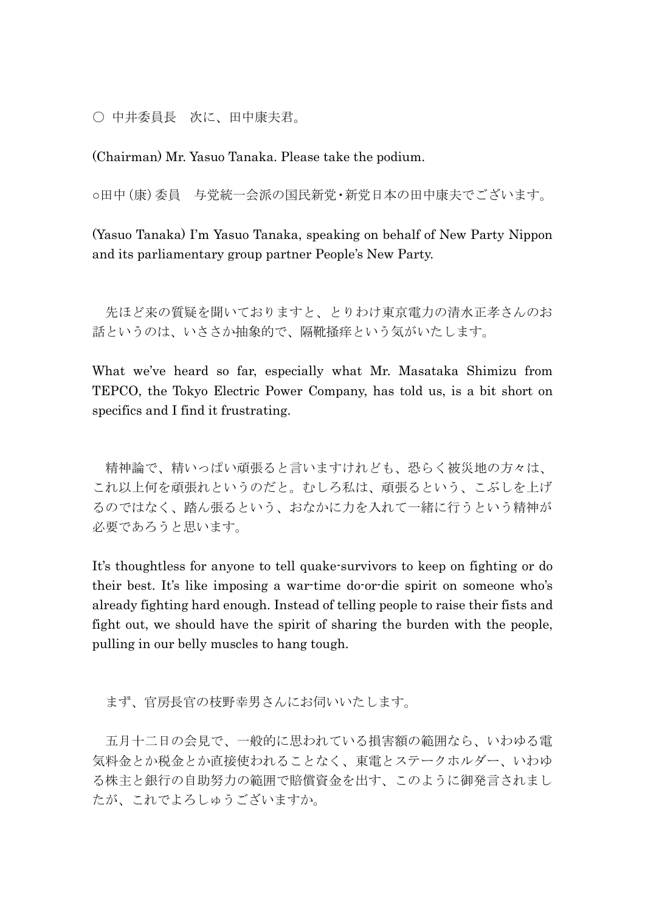○ 中井委員長 次に、田中康夫君。

(Chairman) Mr. Yasuo Tanaka. Please take the podium.

○田中(康)委員 与党統一会派の国民新党・新党日本の田中康夫でございます。

(Yasuo Tanaka) I'm Yasuo Tanaka, speaking on behalf of New Party Nippon and its parliamentary group partner People's New Party.

先ほど来の質疑を聞いておりますと、とりわけ東京電力の清水正孝さんのお 話というのは、いささか抽象的で、隔靴掻痒という気がいたします。

What we've heard so far, especially what Mr. Masataka Shimizu from TEPCO, the Tokyo Electric Power Company, has told us, is a bit short on specifics and I find it frustrating.

精神論で、精いっぱい頑張ると言いますけれども、恐らく被災地の方々は、 これ以上何を頑張れというのだと。むしろ私は、頑張るという、こぶしを上げ るのではなく、踏ん張るという、おなかに力を入れて一緒に行うという精神が 必要であろうと思います。

It's thoughtless for anyone to tell quake-survivors to keep on fighting or do their best. It's like imposing a war-time do-or-die spirit on someone who's already fighting hard enough. Instead of telling people to raise their fists and fight out, we should have the spirit of sharing the burden with the people, pulling in our belly muscles to hang tough.

まず、官房長官の枝野幸男さんにお伺いいたします。

五月十二日の会見で、一般的に思われている損害額の範囲なら、いわゆる電 気料金とか税金とか直接使われることなく、東電とステークホルダー、いわゆ る株主と銀行の自助努力の範囲で賠償資金を出す、このように御発言されまし たが、これでよろしゅうございますか。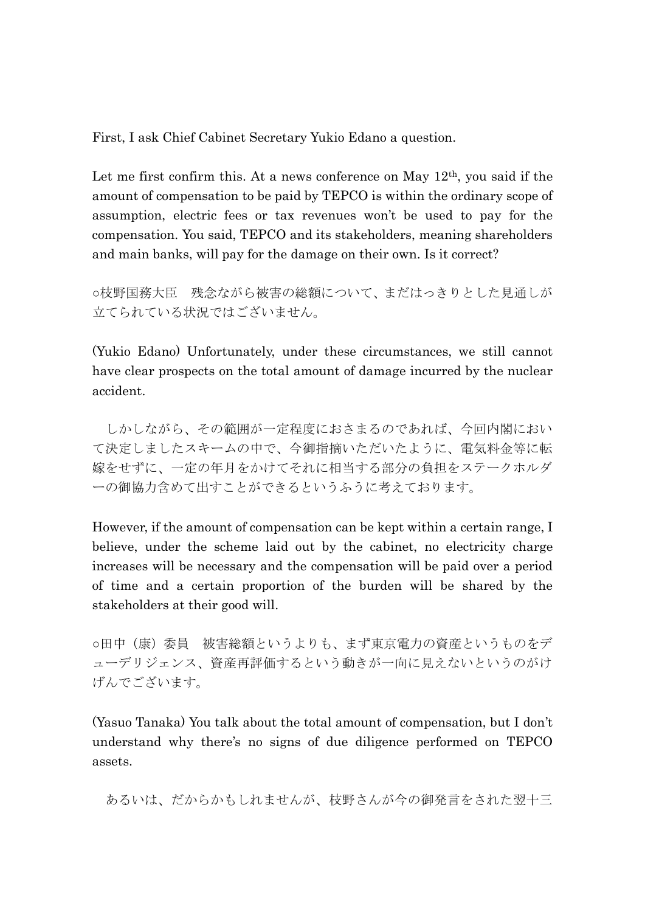First, I ask Chief Cabinet Secretary Yukio Edano a question.

Let me first confirm this. At a news conference on May  $12<sup>th</sup>$ , you said if the amount of compensation to be paid by TEPCO is within the ordinary scope of assumption, electric fees or tax revenues won't be used to pay for the compensation. You said, TEPCO and its stakeholders, meaning shareholders and main banks, will pay for the damage on their own. Is it correct?

○枝野国務大臣 残念ながら被害の総額について、まだはっきりとした見通しが 立てられている状況ではございません。

(Yukio Edano) Unfortunately, under these circumstances, we still cannot have clear prospects on the total amount of damage incurred by the nuclear accident.

しかしながら、その範囲が一定程度におさまるのであれば、今回内閣におい て決定しましたスキームの中で、今御指摘いただいたように、電気料金等に転 嫁をせずに、一定の年月をかけてそれに相当する部分の負担をステークホルダ ーの御協力含めて出すことができるというふうに考えております。

However, if the amount of compensation can be kept within a certain range, I believe, under the scheme laid out by the cabinet, no electricity charge increases will be necessary and the compensation will be paid over a period of time and a certain proportion of the burden will be shared by the stakeholders at their good will.

○田中(康)委員 被害総額というよりも、まず東京電力の資産というものをデ ューデリジェンス、資産再評価するという動きが一向に見えないというのがけ げんでございます。

(Yasuo Tanaka) You talk about the total amount of compensation, but I don't understand why there's no signs of due diligence performed on TEPCO assets.

あるいは、だからかもしれませんが、枝野さんが今の御発言をされた翌十三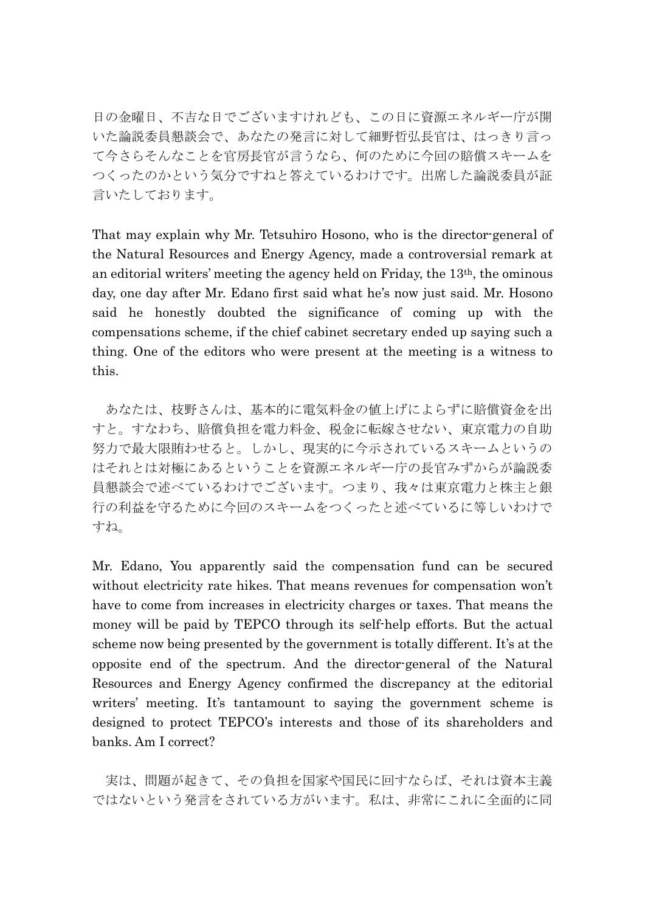日の金曜日、不吉な日でございますけれども、この日に資源エネルギー庁が開 いた論説委員懇談会で、あなたの発言に対して細野哲弘長官は、はっきり言っ て今さらそんなことを官房長官が言うなら、何のために今回の賠償スキームを つくったのかという気分ですねと答えているわけです。出席した論説委員が証 言いたしております。

That may explain why Mr. Tetsuhiro Hosono, who is the director-general of the Natural Resources and Energy Agency, made a controversial remark at an editorial writers' meeting the agency held on Friday, the 13th, the ominous day, one day after Mr. Edano first said what he's now just said. Mr. Hosono said he honestly doubted the significance of coming up with the compensations scheme, if the chief cabinet secretary ended up saying such a thing. One of the editors who were present at the meeting is a witness to this.

あなたは、枝野さんは、基本的に電気料金の値上げによらずに賠償資金を出 すと。すなわち、賠償負担を電力料金、税金に転嫁させない、東京電力の自助 努力で最大限賄わせると。しかし、現実的に今示されているスキームというの はそれとは対極にあるということを資源エネルギー庁の長官みずからが論説委 員懇談会で述べているわけでございます。つまり、我々は東京電力と株主と銀 行の利益を守るために今回のスキームをつくったと述べているに等しいわけで すね。

Mr. Edano, You apparently said the compensation fund can be secured without electricity rate hikes. That means revenues for compensation won't have to come from increases in electricity charges or taxes. That means the money will be paid by TEPCO through its self-help efforts. But the actual scheme now being presented by the government is totally different. It's at the opposite end of the spectrum. And the director-general of the Natural Resources and Energy Agency confirmed the discrepancy at the editorial writers' meeting. It's tantamount to saying the government scheme is designed to protect TEPCO's interests and those of its shareholders and banks. Am I correct?

実は、問題が起きて、その負担を国家や国民に回すならば、それは資本主義 ではないという発言をされている方がいます。私は、非常にこれに全面的に同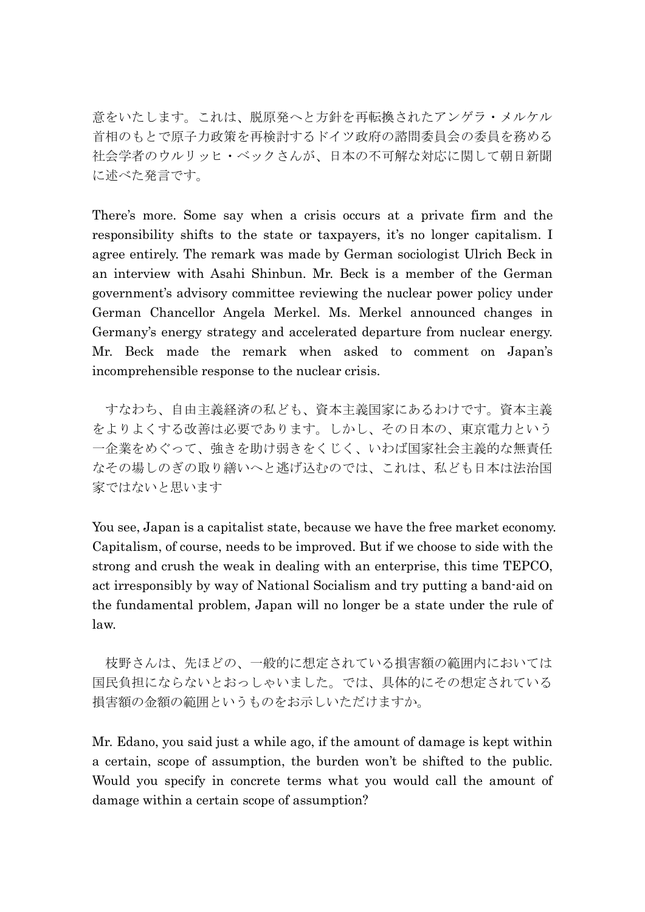意をいたします。これは、脱原発へと方針を再転換されたアンゲラ・メルケル 首相のもとで原子力政策を再検討するドイツ政府の諮問委員会の委員を務める 社会学者のウルリッヒ・ベックさんが、日本の不可解な対応に関して朝日新聞 に述べた発言です。

There's more. Some say when a crisis occurs at a private firm and the responsibility shifts to the state or taxpayers, it's no longer capitalism. I agree entirely. The remark was made by German sociologist Ulrich Beck in an interview with Asahi Shinbun. Mr. Beck is a member of the German government's advisory committee reviewing the nuclear power policy under German Chancellor Angela Merkel. Ms. Merkel announced changes in Germany's energy strategy and accelerated departure from nuclear energy. Mr. Beck made the remark when asked to comment on Japan's incomprehensible response to the nuclear crisis.

すなわち、自由主義経済の私ども、資本主義国家にあるわけです。資本主義 をよりよくする改善は必要であります。しかし、その日本の、東京電力という 一企業をめぐって、強きを助け弱きをくじく、いわば国家社会主義的な無責任 なその場しのぎの取り繕いへと逃げ込むのでは、これは、私ども日本は法治国 家ではないと思います

You see, Japan is a capitalist state, because we have the free market economy. Capitalism, of course, needs to be improved. But if we choose to side with the strong and crush the weak in dealing with an enterprise, this time TEPCO, act irresponsibly by way of National Socialism and try putting a band-aid on the fundamental problem, Japan will no longer be a state under the rule of law.

枝野さんは、先ほどの、一般的に想定されている損害額の範囲内においては 国民負担にならないとおっしゃいました。では、具体的にその想定されている 損害額の金額の範囲というものをお示しいただけますか。

Mr. Edano, you said just a while ago, if the amount of damage is kept within a certain, scope of assumption, the burden won't be shifted to the public. Would you specify in concrete terms what you would call the amount of damage within a certain scope of assumption?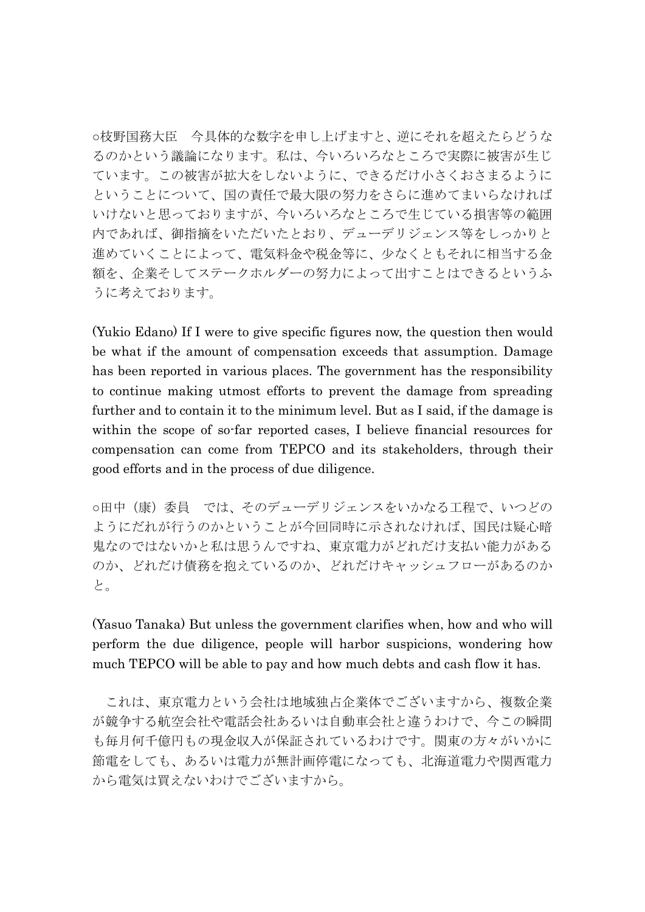○枝野国務大臣 今具体的な数字を申し上げますと、逆にそれを超えたらどうな るのかという議論になります。私は、今いろいろなところで実際に被害が生じ ています。この被害が拡大をしないように、できるだけ小さくおさまるように ということについて、国の責任で最大限の努力をさらに進めてまいらなければ いけないと思っておりますが、今いろいろなところで生じている損害等の範囲 内であれば、御指摘をいただいたとおり、デューデリジェンス等をしっかりと 進めていくことによって、電気料金や税金等に、少なくともそれに相当する金 額を、企業そしてステークホルダーの努力によって出すことはできるというふ うに考えております。

(Yukio Edano) If I were to give specific figures now, the question then would be what if the amount of compensation exceeds that assumption. Damage has been reported in various places. The government has the responsibility to continue making utmost efforts to prevent the damage from spreading further and to contain it to the minimum level. But as I said, if the damage is within the scope of so-far reported cases, I believe financial resources for compensation can come from TEPCO and its stakeholders, through their good efforts and in the process of due diligence.

○田中(康)委員 では、そのデューデリジェンスをいかなる工程で、いつどの ようにだれが行うのかということが今回同時に示されなければ、国民は疑心暗 鬼なのではないかと私は思うんですね、東京電力がどれだけ支払い能力がある のか、どれだけ債務を抱えているのか、どれだけキャッシュフローがあるのか と。

(Yasuo Tanaka) But unless the government clarifies when, how and who will perform the due diligence, people will harbor suspicions, wondering how much TEPCO will be able to pay and how much debts and cash flow it has.

これは、東京電力という会社は地域独占企業体でございますから、複数企業 が競争する航空会社や電話会社あるいは自動車会社と違うわけで、今この瞬間 も毎月何千億円もの現金収入が保証されているわけです。関東の方々がいかに 節電をしても、あるいは電力が無計画停電になっても、北海道電力や関西電力 から電気は買えないわけでございますから。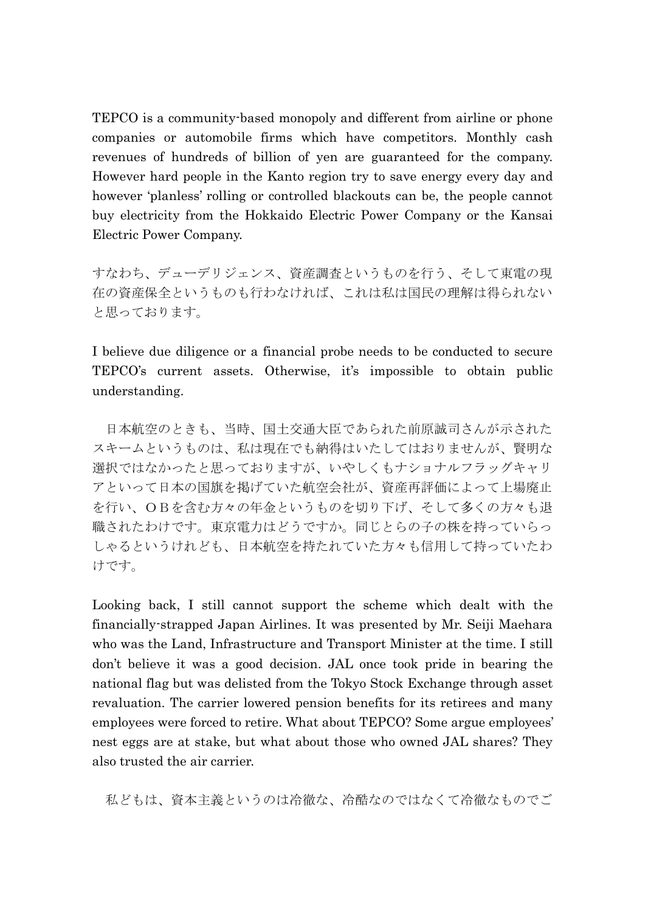TEPCO is a community-based monopoly and different from airline or phone companies or automobile firms which have competitors. Monthly cash revenues of hundreds of billion of yen are guaranteed for the company. However hard people in the Kanto region try to save energy every day and however 'planless' rolling or controlled blackouts can be, the people cannot buy electricity from the Hokkaido Electric Power Company or the Kansai Electric Power Company.

すなわち、デューデリジェンス、資産調査というものを行う、そして東電の現 在の資産保全というものも行わなければ、これは私は国民の理解は得られない と思っております。

I believe due diligence or a financial probe needs to be conducted to secure TEPCO's current assets. Otherwise, it's impossible to obtain public understanding.

日本航空のときも、当時、国土交通大臣であられた前原誠司さんが示された スキームというものは、私は現在でも納得はいたしてはおりませんが、賢明な 選択ではなかったと思っておりますが、いやしくもナショナルフラッグキャリ アといって日本の国旗を掲げていた航空会社が、資産再評価によって上場廃止 を行い、OBを含む方々の年金というものを切り下げ、そして多くの方々も退 職されたわけです。東京電力はどうですか。同じとらの子の株を持っていらっ しゃるというけれども、日本航空を持たれていた方々も信用して持っていたわ けです。

Looking back, I still cannot support the scheme which dealt with the financially-strapped Japan Airlines. It was presented by Mr. Seiji Maehara who was the Land, Infrastructure and Transport Minister at the time. I still don't believe it was a good decision. JAL once took pride in bearing the national flag but was delisted from the Tokyo Stock Exchange through asset revaluation. The carrier lowered pension benefits for its retirees and many employees were forced to retire. What about TEPCO? Some argue employees' nest eggs are at stake, but what about those who owned JAL shares? They also trusted the air carrier.

私どもは、資本主義というのは冷徹な、冷酷なのではなくて冷徹なものでご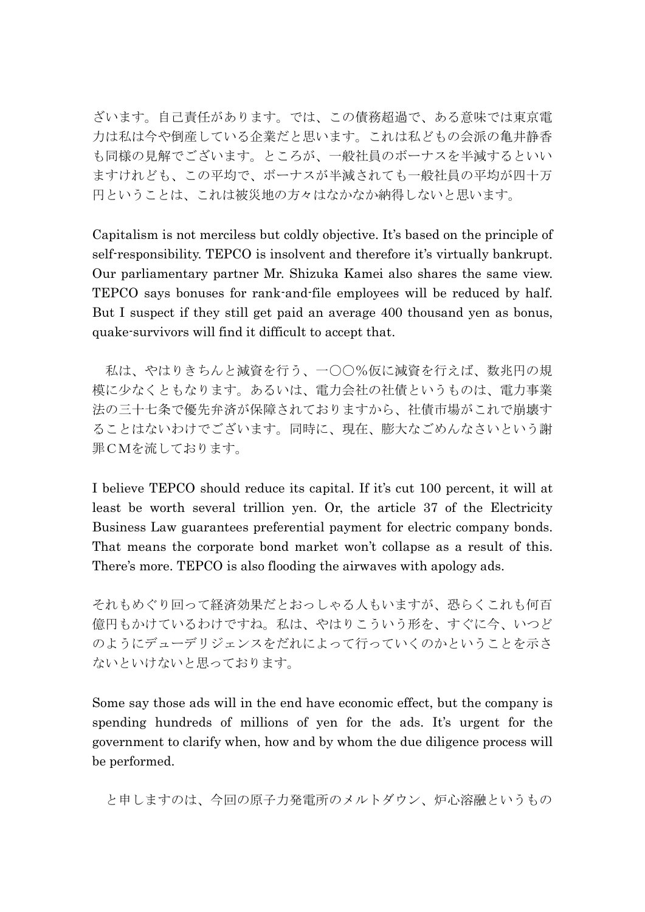ざいます。自己責任があります。では、この債務超過で、ある意味では東京電 力は私は今や倒産している企業だと思います。これは私どもの会派の亀井静香 も同様の見解でございます。ところが、一般社員のボーナスを半減するといい ますけれども、この平均で、ボーナスが半減されても一般社員の平均が四十万 円ということは、これは被災地の方々はなかなか納得しないと思います。

Capitalism is not merciless but coldly objective. It's based on the principle of self-responsibility. TEPCO is insolvent and therefore it's virtually bankrupt. Our parliamentary partner Mr. Shizuka Kamei also shares the same view. TEPCO says bonuses for rank-and-file employees will be reduced by half. But I suspect if they still get paid an average 400 thousand yen as bonus, quake-survivors will find it difficult to accept that.

私は、やはりきちんと減資を行う、一〇〇%仮に減資を行えば、数兆円の規 模に尐なくともなります。あるいは、電力会社の社債というものは、電力事業 法の三十七条で優先弁済が保障されておりますから、社債市場がこれで崩壊す ることはないわけでございます。同時に、現在、膨大なごめんなさいという謝 罪CMを流しております。

I believe TEPCO should reduce its capital. If it's cut 100 percent, it will at least be worth several trillion yen. Or, the article 37 of the Electricity Business Law guarantees preferential payment for electric company bonds. That means the corporate bond market won't collapse as a result of this. There's more. TEPCO is also flooding the airwaves with apology ads.

それもめぐり回って経済効果だとおっしゃる人もいますが、恐らくこれも何百 億円もかけているわけですね。私は、やはりこういう形を、すぐに今、いつど のようにデューデリジェンスをだれによって行っていくのかということを示さ ないといけないと思っております。

Some say those ads will in the end have economic effect, but the company is spending hundreds of millions of yen for the ads. It's urgent for the government to clarify when, how and by whom the due diligence process will be performed.

と申しますのは、今回の原子力発電所のメルトダウン、炉心溶融というもの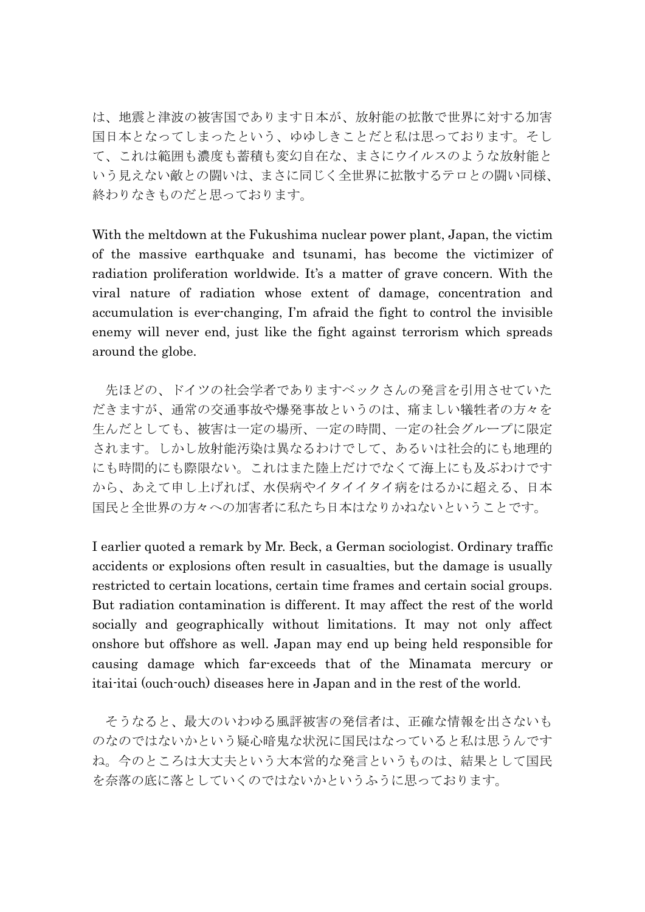は、地震と津波の被害国であります日本が、放射能の拡散で世界に対する加害 国日本となってしまったという、ゆゆしきことだと私は思っております。そし て、これは範囲も濃度も蓄積も変幻自在な、まさにウイルスのような放射能と いう見えない敵との闘いは、まさに同じく全世界に拡散するテロとの闘い同様、 終わりなきものだと思っております。

With the meltdown at the Fukushima nuclear power plant, Japan, the victim of the massive earthquake and tsunami, has become the victimizer of radiation proliferation worldwide. It's a matter of grave concern. With the viral nature of radiation whose extent of damage, concentration and accumulation is ever-changing, I'm afraid the fight to control the invisible enemy will never end, just like the fight against terrorism which spreads around the globe.

先ほどの、ドイツの社会学者でありますベックさんの発言を引用させていた だきますが、通常の交通事故や爆発事故というのは、痛ましい犠牲者の方々を 生んだとしても、被害は一定の場所、一定の時間、一定の社会グループに限定 されます。しかし放射能汚染は異なるわけでして、あるいは社会的にも地理的 にも時間的にも際限ない。これはまた陸上だけでなくて海上にも及ぶわけです から、あえて申し上げれば、水俣病やイタイイタイ病をはるかに超える、日本 国民と全世界の方々への加害者に私たち日本はなりかねないということです。

I earlier quoted a remark by Mr. Beck, a German sociologist. Ordinary traffic accidents or explosions often result in casualties, but the damage is usually restricted to certain locations, certain time frames and certain social groups. But radiation contamination is different. It may affect the rest of the world socially and geographically without limitations. It may not only affect onshore but offshore as well. Japan may end up being held responsible for causing damage which far-exceeds that of the Minamata mercury or itai-itai (ouch-ouch) diseases here in Japan and in the rest of the world.

そうなると、最大のいわゆる風評被害の発信者は、正確な情報を出さないも のなのではないかという疑心暗鬼な状況に国民はなっていると私は思うんです ね。今のところは大丈夫という大本営的な発言というものは、結果として国民 を奈落の底に落としていくのではないかというふうに思っております。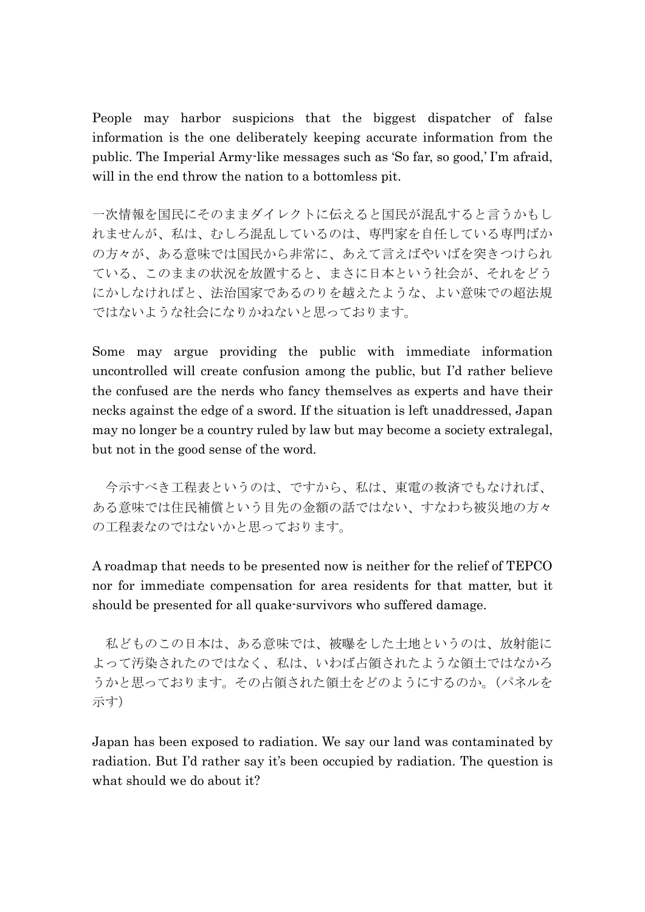People may harbor suspicions that the biggest dispatcher of false information is the one deliberately keeping accurate information from the public. The Imperial Army-like messages such as 'So far, so good,' I'm afraid, will in the end throw the nation to a bottomless pit.

一次情報を国民にそのままダイレクトに伝えると国民が混乱すると言うかもし れませんが、私は、むしろ混乱しているのは、専門家を自任している専門ばか の方々が、ある意味では国民から非常に、あえて言えばやいばを突きつけられ ている、このままの状況を放置すると、まさに日本という社会が、それをどう にかしなければと、法治国家であるのりを越えたような、よい意味での超法規 ではないような社会になりかねないと思っております。

Some may argue providing the public with immediate information uncontrolled will create confusion among the public, but I'd rather believe the confused are the nerds who fancy themselves as experts and have their necks against the edge of a sword. If the situation is left unaddressed, Japan may no longer be a country ruled by law but may become a society extralegal, but not in the good sense of the word.

今示すべき工程表というのは、ですから、私は、東電の救済でもなければ、 ある意味では住民補償という目先の金額の話ではない、すなわち被災地の方々 の工程表なのではないかと思っております。

A roadmap that needs to be presented now is neither for the relief of TEPCO nor for immediate compensation for area residents for that matter, but it should be presented for all quake-survivors who suffered damage.

私どものこの日本は、ある意味では、被曝をした土地というのは、放射能に よって汚染されたのではなく、私は、いわば占領されたような領土ではなかろ うかと思っております。その占領された領土をどのようにするのか。(パネルを 示す)

Japan has been exposed to radiation. We say our land was contaminated by radiation. But I'd rather say it's been occupied by radiation. The question is what should we do about it?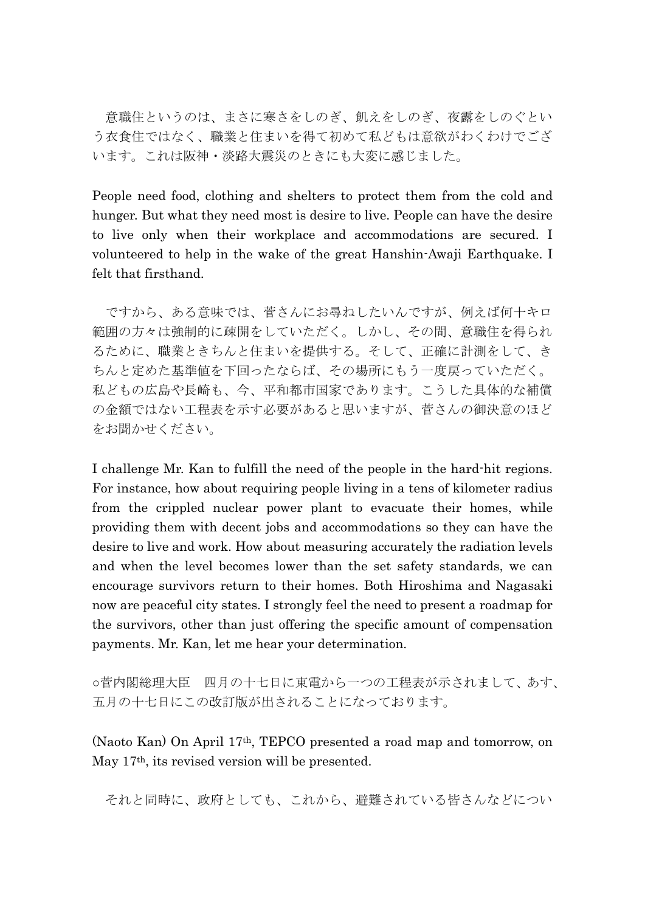意職住というのは、まさに寒さをしのぎ、飢えをしのぎ、夜露をしのぐとい う衣食住ではなく、職業と住まいを得て初めて私どもは意欲がわくわけでござ います。これは阪神・淡路大震災のときにも大変に感じました。

People need food, clothing and shelters to protect them from the cold and hunger. But what they need most is desire to live. People can have the desire to live only when their workplace and accommodations are secured. I volunteered to help in the wake of the great Hanshin-Awaji Earthquake. I felt that firsthand.

ですから、ある意味では、菅さんにお尋ねしたいんですが、例えば何十キロ 範囲の方々は強制的に疎開をしていただく。しかし、その間、意職住を得られ るために、職業ときちんと住まいを提供する。そして、正確に計測をして、き ちんと定めた基準値を下回ったならば、その場所にもう一度戻っていただく。 私どもの広島や長崎も、今、平和都市国家であります。こうした具体的な補償 の金額ではない工程表を示す必要があると思いますが、菅さんの御決意のほど をお聞かせください。

I challenge Mr. Kan to fulfill the need of the people in the hard-hit regions. For instance, how about requiring people living in a tens of kilometer radius from the crippled nuclear power plant to evacuate their homes, while providing them with decent jobs and accommodations so they can have the desire to live and work. How about measuring accurately the radiation levels and when the level becomes lower than the set safety standards, we can encourage survivors return to their homes. Both Hiroshima and Nagasaki now are peaceful city states. I strongly feel the need to present a roadmap for the survivors, other than just offering the specific amount of compensation payments. Mr. Kan, let me hear your determination.

○菅内閣総理大臣 四月の十七日に東電から一つの工程表が示されまして、あす、 五月の十七日にこの改訂版が出されることになっております。

(Naoto Kan) On April 17th, TEPCO presented a road map and tomorrow, on May 17th, its revised version will be presented.

それと同時に、政府としても、これから、避難されている皆さんなどについ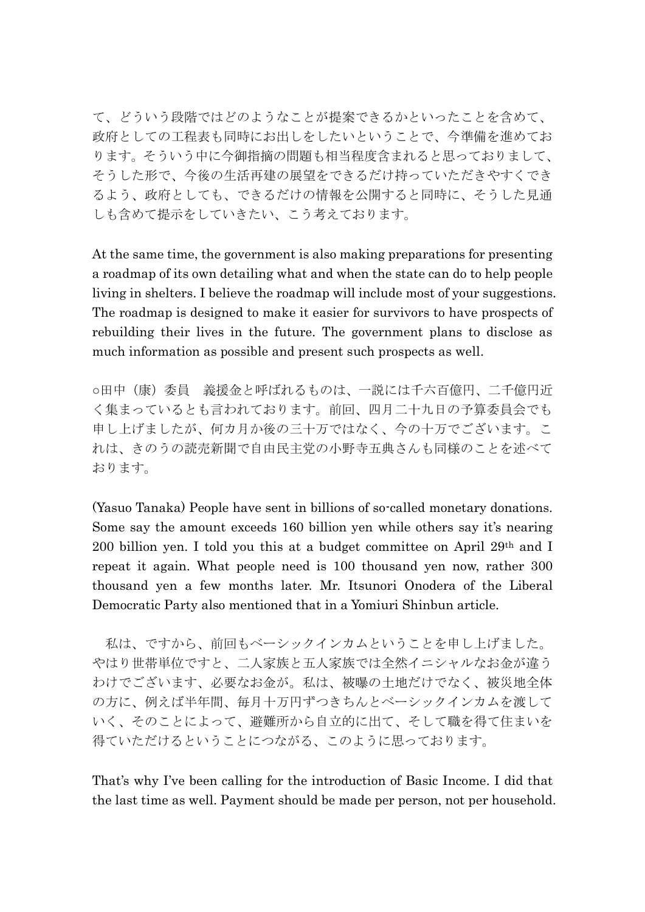て、どういう段階ではどのようなことが提案できるかといったことを含めて、 政府としての工程表も同時にお出しをしたいということで、今準備を進めてお ります。そういう中に今御指摘の問題も相当程度含まれると思っておりまして、 そうした形で、今後の生活再建の展望をできるだけ持っていただきやすくでき るよう、政府としても、できるだけの情報を公開すると同時に、そうした見通 しも含めて提示をしていきたい、こう考えております。

At the same time, the government is also making preparations for presenting a roadmap of its own detailing what and when the state can do to help people living in shelters. I believe the roadmap will include most of your suggestions. The roadmap is designed to make it easier for survivors to have prospects of rebuilding their lives in the future. The government plans to disclose as much information as possible and present such prospects as well.

○田中(康)委員 義援金と呼ばれるものは、一説には千六百億円、二千億円近 く集まっているとも言われております。前回、四月二十九日の予算委員会でも 申し上げましたが、何カ月か後の三十万ではなく、今の十万でございます。こ れは、きのうの読売新聞で自由民主党の小野寺五典さんも同様のことを述べて おります。

(Yasuo Tanaka) People have sent in billions of so-called monetary donations. Some say the amount exceeds 160 billion yen while others say it's nearing 200 billion yen. I told you this at a budget committee on April 29th and I repeat it again. What people need is 100 thousand yen now, rather 300 thousand yen a few months later. Mr. Itsunori Onodera of the Liberal Democratic Party also mentioned that in a Yomiuri Shinbun article.

私は、ですから、前回もベーシックインカムということを申し上げました。 やはり世帯単位ですと、二人家族と五人家族では全然イニシャルなお金が違う わけでございます、必要なお金が。私は、被曝の土地だけでなく、被災地全体 の方に、例えば半年間、毎月十万円ずつきちんとベーシックインカムを渡して いく、そのことによって、避難所から自立的に出て、そして職を得て住まいを 得ていただけるということにつながる、このように思っております。

That's why I've been calling for the introduction of Basic Income. I did that the last time as well. Payment should be made per person, not per household.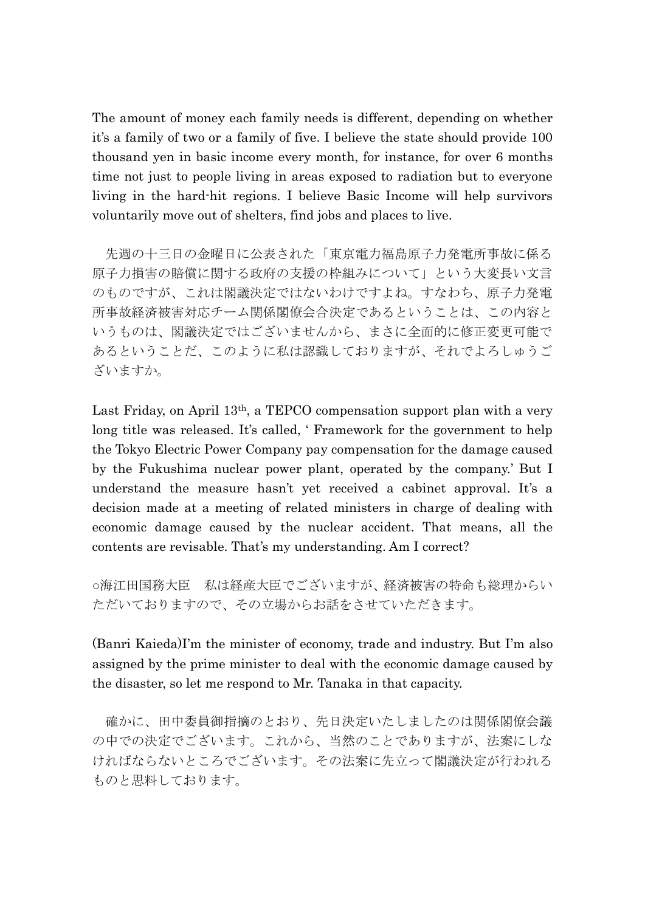The amount of money each family needs is different, depending on whether it's a family of two or a family of five. I believe the state should provide 100 thousand yen in basic income every month, for instance, for over 6 months time not just to people living in areas exposed to radiation but to everyone living in the hard-hit regions. I believe Basic Income will help survivors voluntarily move out of shelters, find jobs and places to live.

先週の十三日の金曜日に公表された「東京電力福島原子力発電所事故に係る 原子力損害の賠償に関する政府の支援の枞組みについて」という大変長い文言 のものですが、これは閣議決定ではないわけですよね。すなわち、原子力発電 所事故経済被害対応チーム関係閣僚会合決定であるということは、この内容と いうものは、閣議決定ではございませんから、まさに全面的に修正変更可能で あるということだ、このように私は認識しておりますが、それでよろしゅうご ざいますか。

Last Friday, on April 13th, a TEPCO compensation support plan with a very long title was released. It's called, ' Framework for the government to help the Tokyo Electric Power Company pay compensation for the damage caused by the Fukushima nuclear power plant, operated by the company.' But I understand the measure hasn't yet received a cabinet approval. It's a decision made at a meeting of related ministers in charge of dealing with economic damage caused by the nuclear accident. That means, all the contents are revisable. That's my understanding. Am I correct?

○海江田国務大臣 私は経産大臣でございますが、経済被害の特命も総理からい ただいておりますので、その立場からお話をさせていただきます。

(Banri Kaieda)I'm the minister of economy, trade and industry. But I'm also assigned by the prime minister to deal with the economic damage caused by the disaster, so let me respond to Mr. Tanaka in that capacity.

確かに、田中委員御指摘のとおり、先日決定いたしましたのは関係閣僚会議 の中での決定でございます。これから、当然のことでありますが、法案にしな ければならないところでございます。その法案に先立って閣議決定が行われる ものと思料しております。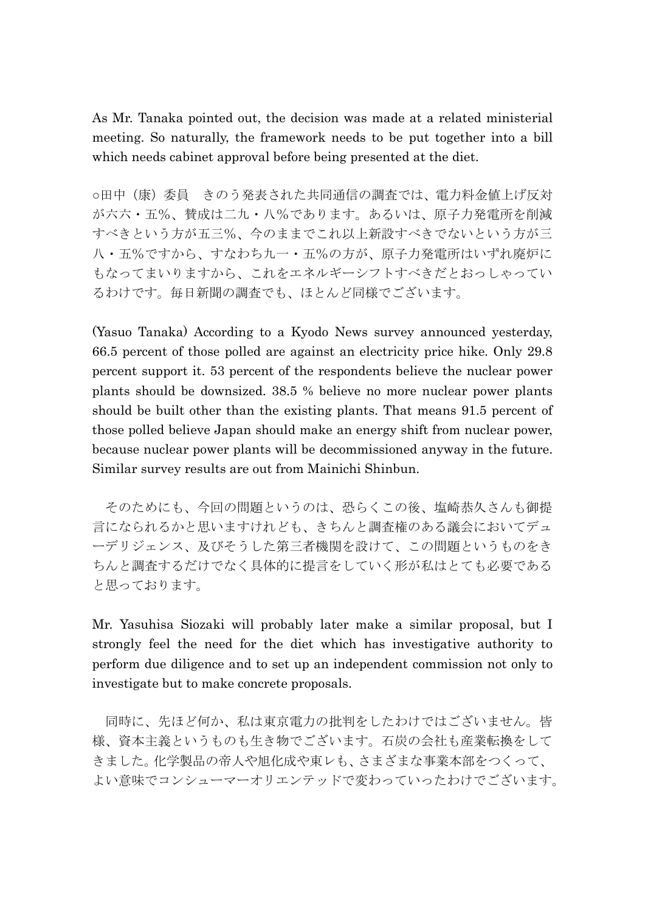As Mr. Tanaka pointed out, the decision was made at a related ministerial meeting. So naturally, the framework needs to be put together into a bill which needs cabinet approval before being presented at the diet.

○田中(康)委員 きのう発表された共同通信の調査では、電力料金値上げ反対 が六六・五%、賛成は二九・八%であります。あるいは、原子力発電所を削減 すべきという方が五三%、今のままでこれ以上新設すべきでないという方が三 八・五%ですから、すなわち九一・五%の方が、原子力発電所はいずれ廃炉に もなってまいりますから、これをエネルギーシフトすべきだとおっしゃってい るわけです。毎日新聞の調査でも、ほとんど同様でございます。

(Yasuo Tanaka) According to a Kyodo News survey announced yesterday, 66.5 percent of those polled are against an electricity price hike. Only 29.8 percent support it. 53 percent of the respondents believe the nuclear power plants should be downsized. 38.5 % believe no more nuclear power plants should be built other than the existing plants. That means 91.5 percent of those polled believe Japan should make an energy shift from nuclear power, because nuclear power plants will be decommissioned anyway in the future. Similar survey results are out from Mainichi Shinbun.

そのためにも、今回の問題というのは、恐らくこの後、塩崎恭久さんも御提 言になられるかと思いますけれども、きちんと調査権のある議会においてデュ ーデリジェンス、及びそうした第三者機関を設けて、この問題というものをき ちんと調査するだけでなく具体的に提言をしていく形が私はとても必要である と思っております。

Mr. Yasuhisa Siozaki will probably later make a similar proposal, but I strongly feel the need for the diet which has investigative authority to perform due diligence and to set up an independent commission not only to investigate but to make concrete proposals.

同時に、先ほど何か、私は東京電力の批判をしたわけではございません。皆 様、資本主義というものも生き物でございます。石炭の会社も産業転換をして きました。化学製品の帝人や旭化成や東レも、さまざまな事業本部をつくって、 よい意味でコンシューマーオリエンテッドで変わっていったわけでございます。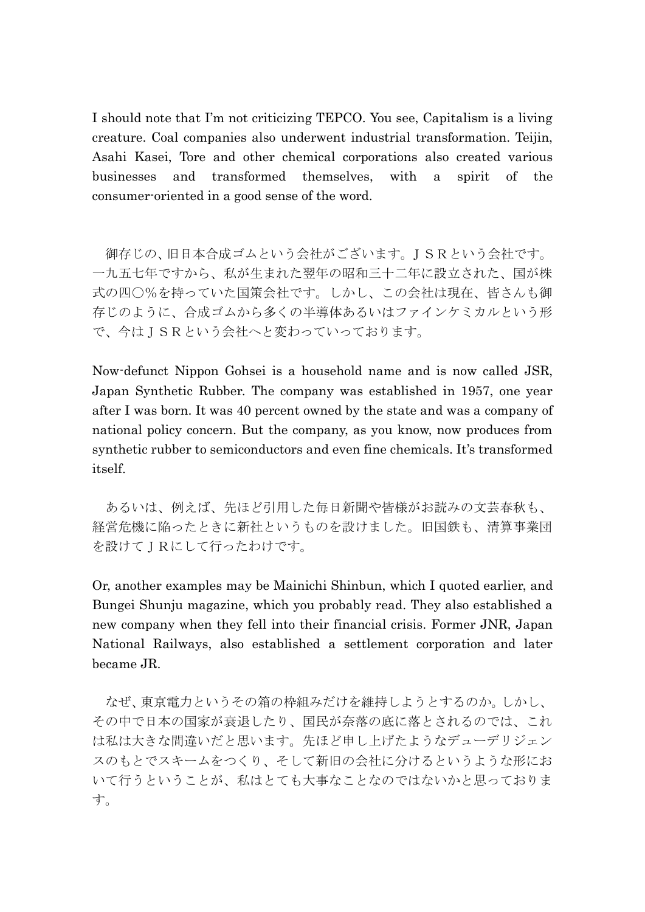I should note that I'm not criticizing TEPCO. You see, Capitalism is a living creature. Coal companies also underwent industrial transformation. Teijin, Asahi Kasei, Tore and other chemical corporations also created various businesses and transformed themselves, with a spirit of the consumer-oriented in a good sense of the word.

御存じの、旧日本合成ゴムという会社がございます。JSRという会社です。 一九五七年ですから、私が生まれた翌年の昭和三十二年に設立された、国が株 式の四〇%を持っていた国策会社です。しかし、この会社は現在、皆さんも御 存じのように、合成ゴムから多くの半導体あるいはファインケミカルという形 で、今はJSRという会社へと変わっていっております。

Now-defunct Nippon Gohsei is a household name and is now called JSR, Japan Synthetic Rubber. The company was established in 1957, one year after I was born. It was 40 percent owned by the state and was a company of national policy concern. But the company, as you know, now produces from synthetic rubber to semiconductors and even fine chemicals. It's transformed itself.

あるいは、例えば、先ほど引用した毎日新聞や皆様がお読みの文芸春秋も、 経営危機に陥ったときに新社というものを設けました。旧国鉄も、清算事業団 を設けてJRにして行ったわけです。

Or, another examples may be Mainichi Shinbun, which I quoted earlier, and Bungei Shunju magazine, which you probably read. They also established a new company when they fell into their financial crisis. Former JNR, Japan National Railways, also established a settlement corporation and later became JR.

なぜ、東京電力というその箱の枞組みだけを維持しようとするのか。しかし、 その中で日本の国家が衰退したり、国民が奈落の底に落とされるのでは、これ は私は大きな間違いだと思います。先ほど申し上げたようなデューデリジェン スのもとでスキームをつくり、そして新旧の会社に分けるというような形にお いて行うということが、私はとても大事なことなのではないかと思っておりま す。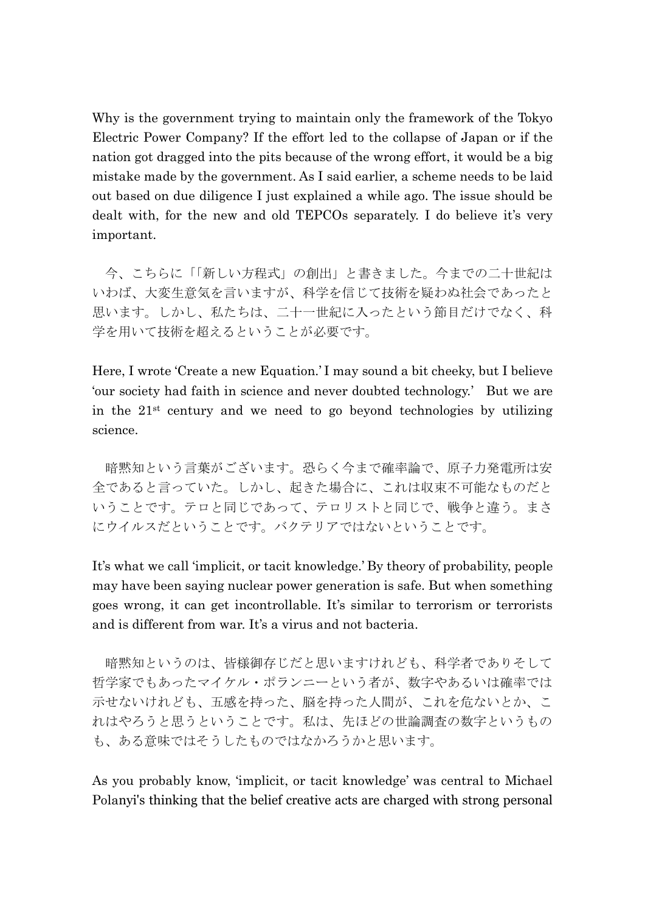Why is the government trying to maintain only the framework of the Tokyo Electric Power Company? If the effort led to the collapse of Japan or if the nation got dragged into the pits because of the wrong effort, it would be a big mistake made by the government. As I said earlier, a scheme needs to be laid out based on due diligence I just explained a while ago. The issue should be dealt with, for the new and old TEPCOs separately. I do believe it's very important.

今、こちらに「「新しい方程式」の創出」と書きました。今までの二十世紀は いわば、大変生意気を言いますが、科学を信じて技術を疑わぬ社会であったと 思います。しかし、私たちは、二十一世紀に入ったという節目だけでなく、科 学を用いて技術を超えるということが必要です。

Here, I wrote 'Create a new Equation.' I may sound a bit cheeky, but I believe 'our society had faith in science and never doubted technology.' But we are in the 21st century and we need to go beyond technologies by utilizing science.

暗黙知という言葉がございます。恐らく今まで確率論で、原子力発電所は安 全であると言っていた。しかし、起きた場合に、これは収束不可能なものだと いうことです。テロと同じであって、テロリストと同じで、戦争と違う。まさ にウイルスだということです。バクテリアではないということです。

It's what we call 'implicit, or tacit knowledge.' By theory of probability, people may have been saying nuclear power generation is safe. But when something goes wrong, it can get incontrollable. It's similar to terrorism or terrorists and is different from war. It's a virus and not bacteria.

暗黙知というのは、皆様御存じだと思いますけれども、科学者でありそして 哲学家でもあったマイケル・ポランニーという者が、数字やあるいは確率では 示せないけれども、五感を持った、脳を持った人間が、これを危ないとか、こ れはやろうと思うということです。私は、先ほどの世論調査の数字というもの も、ある意味ではそうしたものではなかろうかと思います。

As you probably know, 'implicit, or tacit knowledge' was central to Michael Polanyi's thinking that the belief creative acts are charged with strong personal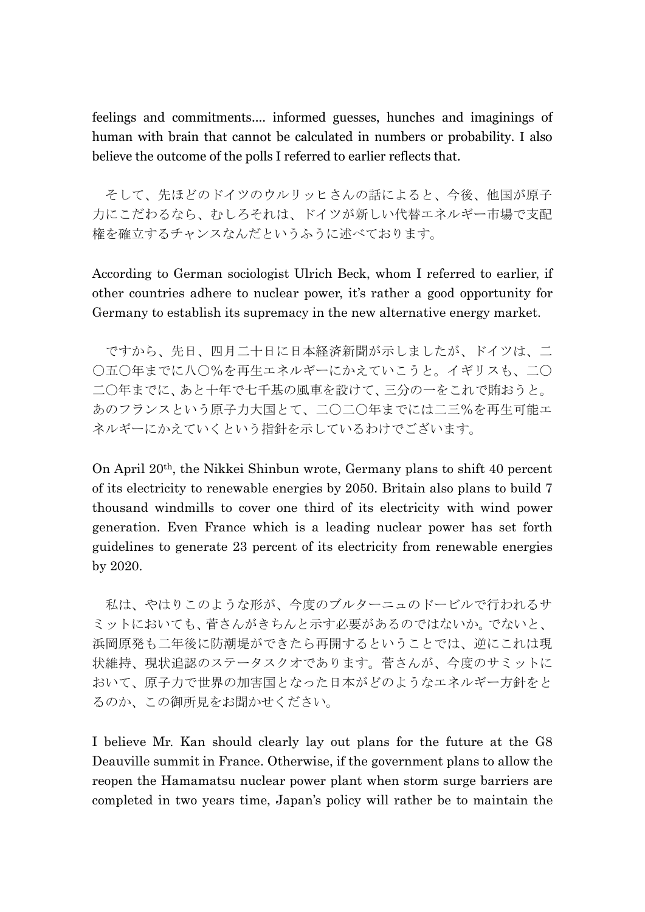feelings and commitments.... informed guesses, hunches and imaginings of human with brain that cannot be calculated in numbers or probability. I also believe the outcome of the polls I referred to earlier reflects that.

そして、先ほどのドイツのウルリッヒさんの話によると、今後、他国が原子 力にこだわるなら、むしろそれは、ドイツが新しい代替エネルギー市場で支配 権を確立するチャンスなんだというふうに述べております。

According to German sociologist Ulrich Beck, whom I referred to earlier, if other countries adhere to nuclear power, it's rather a good opportunity for Germany to establish its supremacy in the new alternative energy market.

ですから、先日、四月二十日に日本経済新聞が示しましたが、ドイツは、二 〇五〇年までに八〇%を再生エネルギーにかえていこうと。イギリスも、二〇 二〇年までに、あと十年で七千基の風車を設けて、三分の一をこれで賄おうと。 あのフランスという原子力大国とて、二〇二〇年までには二三%を再生可能エ ネルギーにかえていくという指針を示しているわけでございます。

On April 20th, the Nikkei Shinbun wrote, Germany plans to shift 40 percent of its electricity to renewable energies by 2050. Britain also plans to build 7 thousand windmills to cover one third of its electricity with wind power generation. Even France which is a leading nuclear power has set forth guidelines to generate 23 percent of its electricity from renewable energies by 2020.

私は、やはりこのような形が、今度のブルターニュのドービルで行われるサ ミットにおいても、菅さんがきちんと示す必要があるのではないか。でないと、 浜岡原発も二年後に防潮堤ができたら再開するということでは、逆にこれは現 状維持、現状追認のステータスクオであります。菅さんが、今度のサミットに おいて、原子力で世界の加害国となった日本がどのようなエネルギー方針をと るのか、この御所見をお聞かせください。

I believe Mr. Kan should clearly lay out plans for the future at the G8 Deauville summit in France. Otherwise, if the government plans to allow the reopen the Hamamatsu nuclear power plant when storm surge barriers are completed in two years time, Japan's policy will rather be to maintain the